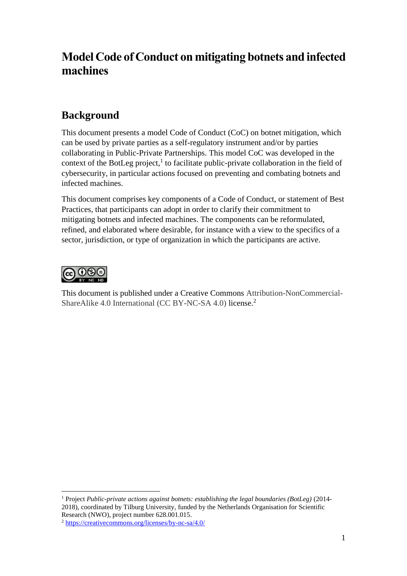# **Model Code of Conduct on mitigating botnets and infected machines**

# **Background**

This document presents a model Code of Conduct (CoC) on botnet mitigation, which can be used by private parties as a self-regulatory instrument and/or by parties collaborating in Public-Private Partnerships. This model CoC was developed in the context of the BotLeg project,<sup>1</sup> to facilitate public-private collaboration in the field of cybersecurity, in particular actions focused on preventing and combating botnets and infected machines.

This document comprises key components of a Code of Conduct, or statement of Best Practices, that participants can adopt in order to clarify their commitment to mitigating botnets and infected machines. The components can be reformulated, refined, and elaborated where desirable, for instance with a view to the specifics of a sector, jurisdiction, or type of organization in which the participants are active.



 $\overline{a}$ 

This document is published under a Creative Commons Attribution-NonCommercial-ShareAlike 4.0 International (CC BY-NC-SA 4.0) license.<sup>2</sup>

<sup>1</sup> Project *Public-private actions against botnets: establishing the legal boundaries (BotLeg)* (2014- 2018), coordinated by Tilburg University, funded by the Netherlands Organisation for Scientific Research (NWO), project number 628.001.015.

<sup>2</sup> <https://creativecommons.org/licenses/by-nc-sa/4.0/>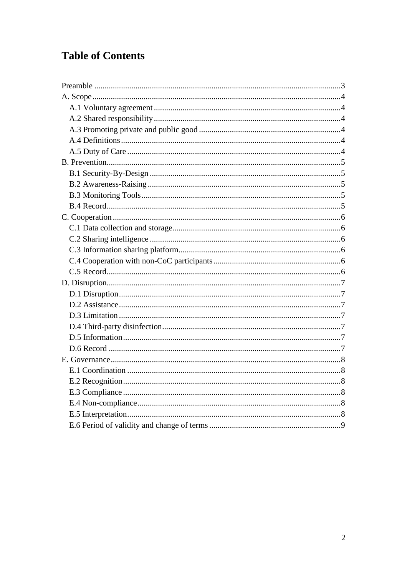# **Table of Contents**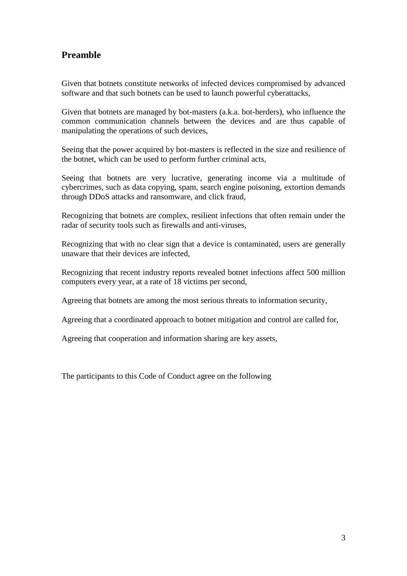# <span id="page-2-0"></span>**Preamble**

Given that botnets constitute networks of infected devices compromised by advanced software and that such botnets can be used to launch powerful cyberattacks,

Given that botnets are managed by bot-masters (a.k.a. bot-herders), who influence the common communication channels between the devices and are thus capable of manipulating the operations of such devices,

Seeing that the power acquired by bot-masters is reflected in the size and resilience of the botnet, which can be used to perform further criminal acts,

Seeing that botnets are very lucrative, generating income via a multitude of cybercrimes, such as data copying, spam, search engine poisoning, extortion demands through DDoS attacks and ransomware, and click fraud,

Recognizing that botnets are complex, resilient infections that often remain under the radar of security tools such as firewalls and anti-viruses,

Recognizing that with no clear sign that a device is contaminated, users are generally unaware that their devices are infected,

Recognizing that recent industry reports revealed botnet infections affect 500 million computers every year, at a rate of 18 victims per second,

Agreeing that botnets are among the most serious threats to information security,

Agreeing that a coordinated approach to botnet mitigation and control are called for,

Agreeing that cooperation and information sharing are key assets,

The participants to this Code of Conduct agree on the following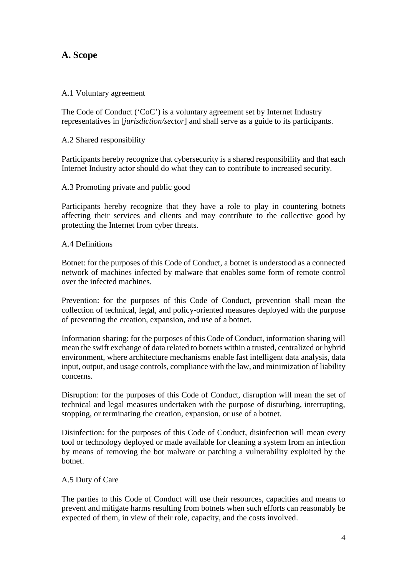# <span id="page-3-0"></span>**A. Scope**

### <span id="page-3-1"></span>A.1 Voluntary agreement

The Code of Conduct ('CoC') is a voluntary agreement set by Internet Industry representatives in [*jurisdiction/sector*] and shall serve as a guide to its participants.

## <span id="page-3-2"></span>A.2 Shared responsibility

Participants hereby recognize that cybersecurity is a shared responsibility and that each Internet Industry actor should do what they can to contribute to increased security.

### <span id="page-3-3"></span>A.3 Promoting private and public good

Participants hereby recognize that they have a role to play in countering botnets affecting their services and clients and may contribute to the collective good by protecting the Internet from cyber threats.

### <span id="page-3-4"></span>A.4 Definitions

Botnet: for the purposes of this Code of Conduct, a botnet is understood as a connected network of machines infected by malware that enables some form of remote control over the infected machines.

Prevention: for the purposes of this Code of Conduct, prevention shall mean the collection of technical, legal, and policy-oriented measures deployed with the purpose of preventing the creation, expansion, and use of a botnet.

Information sharing: for the purposes of this Code of Conduct, information sharing will mean the swift exchange of data related to botnets within a trusted, centralized or hybrid environment, where architecture mechanisms enable fast intelligent data analysis, data input, output, and usage controls, compliance with the law, and minimization of liability concerns.

Disruption: for the purposes of this Code of Conduct, disruption will mean the set of technical and legal measures undertaken with the purpose of disturbing, interrupting, stopping, or terminating the creation, expansion, or use of a botnet.

Disinfection: for the purposes of this Code of Conduct, disinfection will mean every tool or technology deployed or made available for cleaning a system from an infection by means of removing the bot malware or patching a vulnerability exploited by the botnet.

#### <span id="page-3-5"></span>A.5 Duty of Care

The parties to this Code of Conduct will use their resources, capacities and means to prevent and mitigate harms resulting from botnets when such efforts can reasonably be expected of them, in view of their role, capacity, and the costs involved.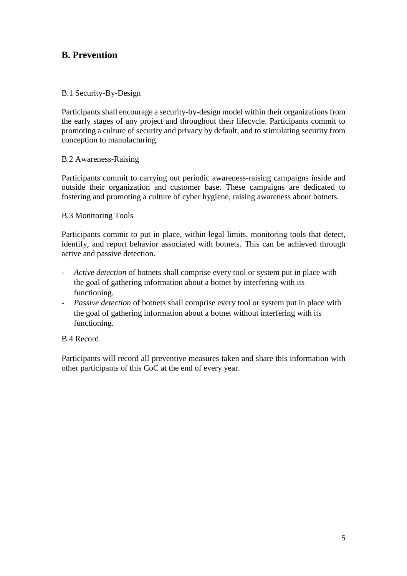# <span id="page-4-0"></span>**B. Prevention**

# <span id="page-4-1"></span>B.1 Security-By-Design

Participants shall encourage a security-by-design model within their organizations from the early stages of any project and throughout their lifecycle. Participants commit to promoting a culture of security and privacy by default, and to stimulating security from conception to manufacturing.

### <span id="page-4-2"></span>B.2 Awareness-Raising

Participants commit to carrying out periodic awareness-raising campaigns inside and outside their organization and customer base. These campaigns are dedicated to fostering and promoting a culture of cyber hygiene, raising awareness about botnets.

### <span id="page-4-3"></span>B.3 Monitoring Tools

Participants commit to put in place, within legal limits, monitoring tools that detect, identify, and report behavior associated with botnets. This can be achieved through active and passive detection.

- *Active detection* of botnets shall comprise every tool or system put in place with the goal of gathering information about a botnet by interfering with its functioning.
- *Passive detection* of botnets shall comprise every tool or system put in place with the goal of gathering information about a botnet without interfering with its functioning.

# <span id="page-4-4"></span>B.4 Record

Participants will record all preventive measures taken and share this information with other participants of this CoC at the end of every year.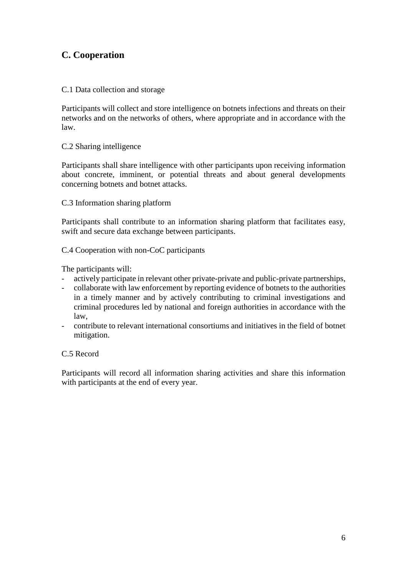# <span id="page-5-0"></span>**C. Cooperation**

## <span id="page-5-1"></span>C.1 Data collection and storage

Participants will collect and store intelligence on botnets infections and threats on their networks and on the networks of others, where appropriate and in accordance with the law.

## <span id="page-5-2"></span>C.2 Sharing intelligence

Participants shall share intelligence with other participants upon receiving information about concrete, imminent, or potential threats and about general developments concerning botnets and botnet attacks.

### <span id="page-5-3"></span>C.3 Information sharing platform

Participants shall contribute to an information sharing platform that facilitates easy, swift and secure data exchange between participants.

## <span id="page-5-4"></span>C.4 Cooperation with non-CoC participants

The participants will:

- actively participate in relevant other private-private and public-private partnerships,
- collaborate with law enforcement by reporting evidence of botnets to the authorities in a timely manner and by actively contributing to criminal investigations and criminal procedures led by national and foreign authorities in accordance with the law,
- contribute to relevant international consortiums and initiatives in the field of botnet mitigation.

#### <span id="page-5-5"></span>C.5 Record

Participants will record all information sharing activities and share this information with participants at the end of every year.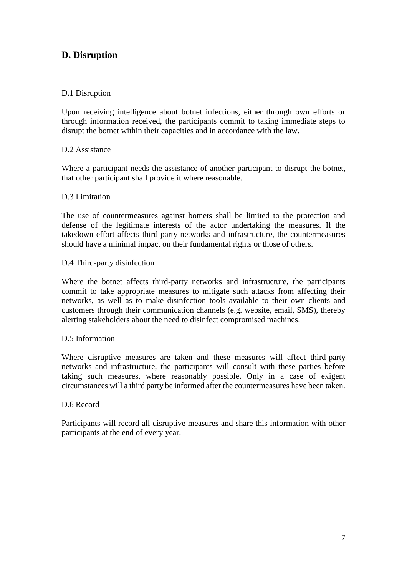# <span id="page-6-0"></span>**D. Disruption**

## <span id="page-6-1"></span>D.1 Disruption

Upon receiving intelligence about botnet infections, either through own efforts or through information received, the participants commit to taking immediate steps to disrupt the botnet within their capacities and in accordance with the law.

#### <span id="page-6-2"></span>D.2 Assistance

Where a participant needs the assistance of another participant to disrupt the botnet, that other participant shall provide it where reasonable.

#### <span id="page-6-3"></span>D.3 Limitation

The use of countermeasures against botnets shall be limited to the protection and defense of the legitimate interests of the actor undertaking the measures. If the takedown effort affects third-party networks and infrastructure, the countermeasures should have a minimal impact on their fundamental rights or those of others.

#### <span id="page-6-4"></span>D.4 Third-party disinfection

Where the botnet affects third-party networks and infrastructure, the participants commit to take appropriate measures to mitigate such attacks from affecting their networks, as well as to make disinfection tools available to their own clients and customers through their communication channels (e.g. website, email, SMS), thereby alerting stakeholders about the need to disinfect compromised machines.

#### <span id="page-6-5"></span>D.5 Information

Where disruptive measures are taken and these measures will affect third-party networks and infrastructure, the participants will consult with these parties before taking such measures, where reasonably possible. Only in a case of exigent circumstances will a third party be informed after the countermeasures have been taken.

#### <span id="page-6-6"></span>D.6 Record

Participants will record all disruptive measures and share this information with other participants at the end of every year.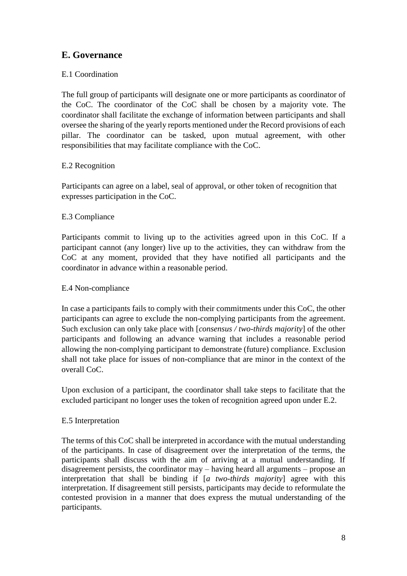# <span id="page-7-0"></span>**E. Governance**

# <span id="page-7-1"></span>E.1 Coordination

The full group of participants will designate one or more participants as coordinator of the CoC. The coordinator of the CoC shall be chosen by a majority vote. The coordinator shall facilitate the exchange of information between participants and shall oversee the sharing of the yearly reports mentioned under the Record provisions of each pillar. The coordinator can be tasked, upon mutual agreement, with other responsibilities that may facilitate compliance with the CoC.

# <span id="page-7-2"></span>E.2 Recognition

Participants can agree on a label, seal of approval, or other token of recognition that expresses participation in the CoC.

# <span id="page-7-3"></span>E.3 Compliance

Participants commit to living up to the activities agreed upon in this CoC. If a participant cannot (any longer) live up to the activities, they can withdraw from the CoC at any moment, provided that they have notified all participants and the coordinator in advance within a reasonable period.

# <span id="page-7-4"></span>E.4 Non-compliance

In case a participants fails to comply with their commitments under this CoC, the other participants can agree to exclude the non-complying participants from the agreement. Such exclusion can only take place with [*consensus / two-thirds majority*] of the other participants and following an advance warning that includes a reasonable period allowing the non-complying participant to demonstrate (future) compliance. Exclusion shall not take place for issues of non-compliance that are minor in the context of the overall CoC.

Upon exclusion of a participant, the coordinator shall take steps to facilitate that the excluded participant no longer uses the token of recognition agreed upon under E.2.

# <span id="page-7-5"></span>E.5 Interpretation

The terms of this CoC shall be interpreted in accordance with the mutual understanding of the participants. In case of disagreement over the interpretation of the terms, the participants shall discuss with the aim of arriving at a mutual understanding. If disagreement persists, the coordinator may – having heard all arguments – propose an interpretation that shall be binding if [*a two-thirds majority*] agree with this interpretation. If disagreement still persists, participants may decide to reformulate the contested provision in a manner that does express the mutual understanding of the participants.